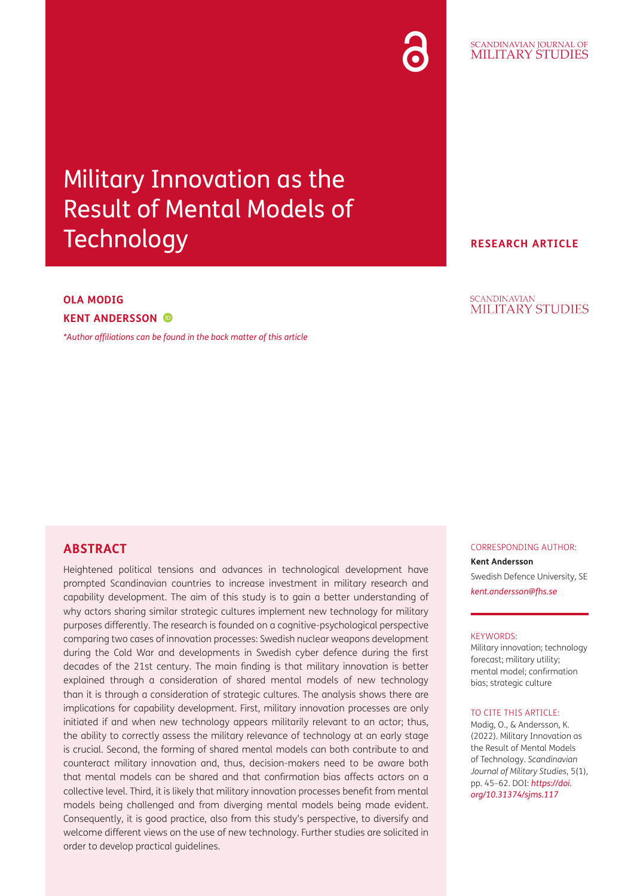# Military Innovation as the Result of Mental Models of **Technology**

## **OLA MODIG KENT ANDERSSON**

*[\\*Author affiliations can be found in the back matter of this article](#page-14-0)*

## **ABSTRACT**

Heightened political tensions and advances in technological development have prompted Scandinavian countries to increase investment in military research and capability development. The aim of this study is to gain a better understanding of why actors sharing similar strategic cultures implement new technology for military purposes differently. The research is founded on a cognitive-psychological perspective comparing two cases of innovation processes: Swedish nuclear weapons development during the Cold War and developments in Swedish cyber defence during the first decades of the 21st century. The main finding is that military innovation is better explained through a consideration of shared mental models of new technology than it is through a consideration of strategic cultures. The analysis shows there are implications for capability development. First, military innovation processes are only initiated if and when new technology appears militarily relevant to an actor; thus, the ability to correctly assess the military relevance of technology at an early stage is crucial. Second, the forming of shared mental models can both contribute to and counteract military innovation and, thus, decision-makers need to be aware both that mental models can be shared and that confirmation bias affects actors on a collective level. Third, it is likely that military innovation processes benefit from mental models being challenged and from diverging mental models being made evident. Consequently, it is good practice, also from this study's perspective, to diversify and welcome different views on the use of new technology. Further studies are solicited in order to develop practical guidelines.

#### CORRESPONDING AUTHOR: **Kent Andersson**

Swedish Defence University, SE *[kent.andersson@fhs.se](mailto:kent.andersson@fhs.se)*

#### KEYWORDS:

Military innovation; technology forecast; military utility; mental model; confirmation bias; strategic culture

#### TO CITE THIS ARTICLE:

Modig, O., & Andersson, K. (2022). Military Innovation as the Result of Mental Models of Technology. *Scandinavian Journal of Military Studies*, 5(1), pp. 45–62. DOI: *[https://doi.](https://doi.org/10.31374/sjms.117) [org/10.31374/sjms.117](https://doi.org/10.31374/sjms.117)*

#### SCANDINAVIAN JOURNAL OF MILITARY STUDIES

**RESEARCH ARTICLE**

#### **SCANDINAVIAN MILITARY STUDIES**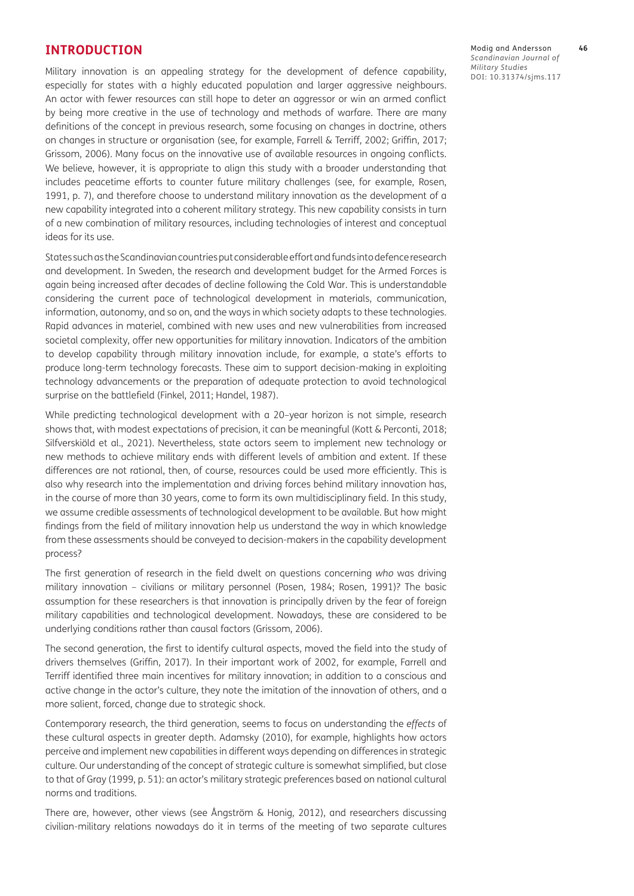#### **INTRODUCTION**

Military innovation is an appealing strategy for the development of defence capability, especially for states with a highly educated population and larger aggressive neighbours. An actor with fewer resources can still hope to deter an aggressor or win an armed conflict by being more creative in the use of technology and methods of warfare. There are many definitions of the concept in previous research, some focusing on changes in doctrine, others on changes in structure or organisation (see, for example, Farrell & Terriff, 2002; [Griffin, 2017](#page-15-0); [Grissom, 2006](#page-15-1)). Many focus on the innovative use of available resources in ongoing conflicts. We believe, however, it is appropriate to align this study with a broader understanding that includes peacetime efforts to counter future military challenges (see, for example, [Rosen,](#page-16-0)  [1991](#page-16-0), p. 7), and therefore choose to understand military innovation as the development of a new capability integrated into a coherent military strategy. This new capability consists in turn of a new combination of military resources, including technologies of interest and conceptual ideas for its use.

States such as the Scandinavian countries put considerable effort and funds into defence research and development. In Sweden, the research and development budget for the Armed Forces is again being increased after decades of decline following the Cold War. This is understandable considering the current pace of technological development in materials, communication, information, autonomy, and so on, and the ways in which society adapts to these technologies. Rapid advances in materiel, combined with new uses and new vulnerabilities from increased societal complexity, offer new opportunities for military innovation. Indicators of the ambition to develop capability through military innovation include, for example, a state's efforts to produce long-term technology forecasts. These aim to support decision-making in exploiting technology advancements or the preparation of adequate protection to avoid technological surprise on the battlefield ([Finkel, 2011](#page-15-2); [Handel, 1987](#page-15-3)).

While predicting technological development with a 20–year horizon is not simple, research shows that, with modest expectations of precision, it can be meaningful [\(Kott & Perconti, 2018](#page-16-1); Silfverskiöld et al., 2021). Nevertheless, state actors seem to implement new technology or new methods to achieve military ends with different levels of ambition and extent. If these differences are not rational, then, of course, resources could be used more efficiently. This is also why research into the implementation and driving forces behind military innovation has, in the course of more than 30 years, come to form its own multidisciplinary field. In this study, we assume credible assessments of technological development to be available. But how might findings from the field of military innovation help us understand the way in which knowledge from these assessments should be conveyed to decision-makers in the capability development process?

The first generation of research in the field dwelt on questions concerning *who* was driving military innovation – civilians or military personnel [\(Posen, 1984](#page-16-2); [Rosen, 1991](#page-16-0))? The basic assumption for these researchers is that innovation is principally driven by the fear of foreign military capabilities and technological development. Nowadays, these are considered to be underlying conditions rather than causal factors [\(Grissom, 2006\)](#page-15-1).

The second generation, the first to identify cultural aspects, moved the field into the study of drivers themselves ([Griffin, 2017](#page-15-0)). In their important work of 2002, for example, Farrell and Terriff identified three main incentives for military innovation; in addition to a conscious and active change in the actor's culture, they note the imitation of the innovation of others, and a more salient, forced, change due to strategic shock.

Contemporary research, the third generation, seems to focus on understanding the *effects* of these cultural aspects in greater depth. Adamsky [\(2010\)](#page-14-1), for example, highlights how actors perceive and implement new capabilities in different ways depending on differences in strategic culture*.* Our understanding of the concept of strategic culture is somewhat simplified, but close to that of Gray ([1999, p. 51](#page-15-4)): an actor's military strategic preferences based on national cultural norms and traditions*.*

There are, however, other views (see [Ångström & Honig, 2012\)](#page-14-2), and researchers discussing civilian-military relations nowadays do it in terms of the meeting of two separate cultures Modig and Andersson **46** *Scandinavian Journal of Military Studies* DOI: 10.31374/sjms.117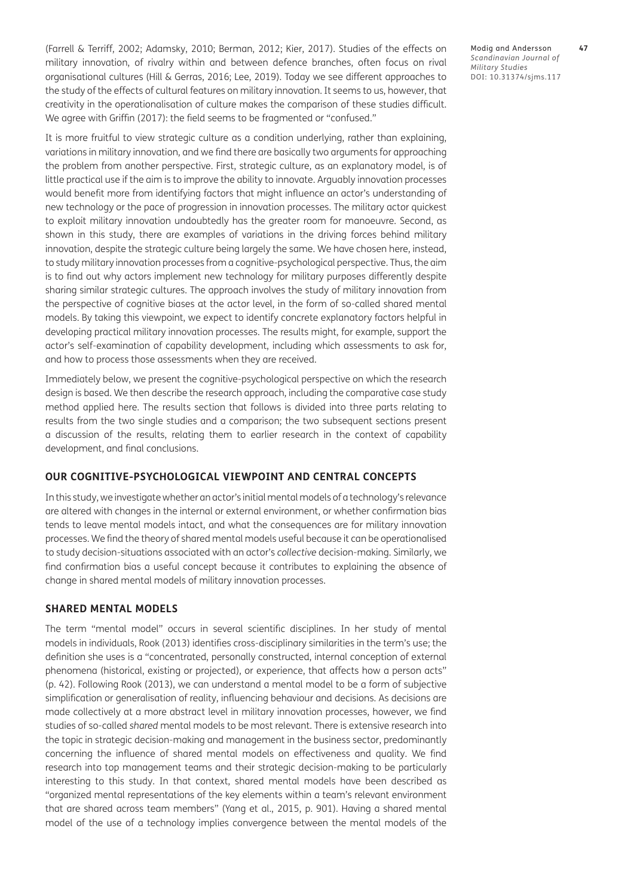[\(Farrell & Terriff, 2002;](#page-15-5) [Adamsky, 2010](#page-14-1); [Berman, 2012](#page-14-3); [Kier, 2017\)](#page-16-3). Studies of the effects on military innovation, of rivalry within and between defence branches, often focus on rival organisational cultures [\(Hill & Gerras, 2016](#page-15-6); [Lee, 2019\)](#page-16-4). Today we see different approaches to the study of the effects of cultural features on military innovation. It seems to us, however, that creativity in the operationalisation of culture makes the comparison of these studies difficult. We agree with Griffin ([2017\)](#page-15-0): the field seems to be fragmented or "confused."

It is more fruitful to view strategic culture as a condition underlying, rather than explaining, variations in military innovation, and we find there are basically two arguments for approaching the problem from another perspective. First, strategic culture, as an explanatory model, is of little practical use if the aim is to improve the ability to innovate. Arguably innovation processes would benefit more from identifying factors that might influence an actor's understanding of new technology or the pace of progression in innovation processes. The military actor quickest to exploit military innovation undoubtedly has the greater room for manoeuvre. Second, as shown in this study, there are examples of variations in the driving forces behind military innovation, despite the strategic culture being largely the same. We have chosen here, instead, to study military innovation processes from a cognitive-psychological perspective. Thus, the aim is to find out why actors implement new technology for military purposes differently despite sharing similar strategic cultures. The approach involves the study of military innovation from the perspective of cognitive biases at the actor level, in the form of so-called shared mental models. By taking this viewpoint, we expect to identify concrete explanatory factors helpful in developing practical military innovation processes. The results might, for example, support the actor's self-examination of capability development, including which assessments to ask for, and how to process those assessments when they are received.

Immediately below, we present the cognitive-psychological perspective on which the research design is based. We then describe the research approach, including the comparative case study method applied here. The results section that follows is divided into three parts relating to results from the two single studies and a comparison; the two subsequent sections present a discussion of the results, relating them to earlier research in the context of capability development, and final conclusions.

#### **OUR COGNITIVE-PSYCHOLOGICAL VIEWPOINT AND CENTRAL CONCEPTS**

In this study, we investigate whether an actor's initial mental models of a technology's relevance are altered with changes in the internal or external environment, or whether confirmation bias tends to leave mental models intact, and what the consequences are for military innovation processes. We find the theory of shared mental models useful because it can be operationalised to study decision-situations associated with an actor's *collective* decision-making. Similarly, we find confirmation bias a useful concept because it contributes to explaining the absence of change in shared mental models of military innovation processes.

#### **SHARED MENTAL MODELS**

The term "mental model" occurs in several scientific disciplines. In her study of mental models in individuals, Rook ([2013\)](#page-16-5) identifies cross-disciplinary similarities in the term's use; the definition she uses is a "concentrated, personally constructed, internal conception of external phenomena (historical, existing or projected), or experience, that affects how a person acts" (p. 42). Following Rook ([2013](#page-16-5)), we can understand a mental model to be a form of subjective simplification or generalisation of reality, influencing behaviour and decisions. As decisions are made collectively at a more abstract level in military innovation processes, however, we find studies of so-called *shared* mental models to be most relevant. There is extensive research into the topic in strategic decision-making and management in the business sector, predominantly concerning the influence of shared mental models on effectiveness and quality. We find research into top management teams and their strategic decision-making to be particularly interesting to this study. In that context, shared mental models have been described as "organized mental representations of the key elements within a team's relevant environment that are shared across team members" ([Yang et al., 2015, p. 901\)](#page-17-0). Having a shared mental model of the use of a technology implies convergence between the mental models of the Modig and Andersson **47** *Scandinavian Journal of Military Studies* DOI: 10.31374/sjms.117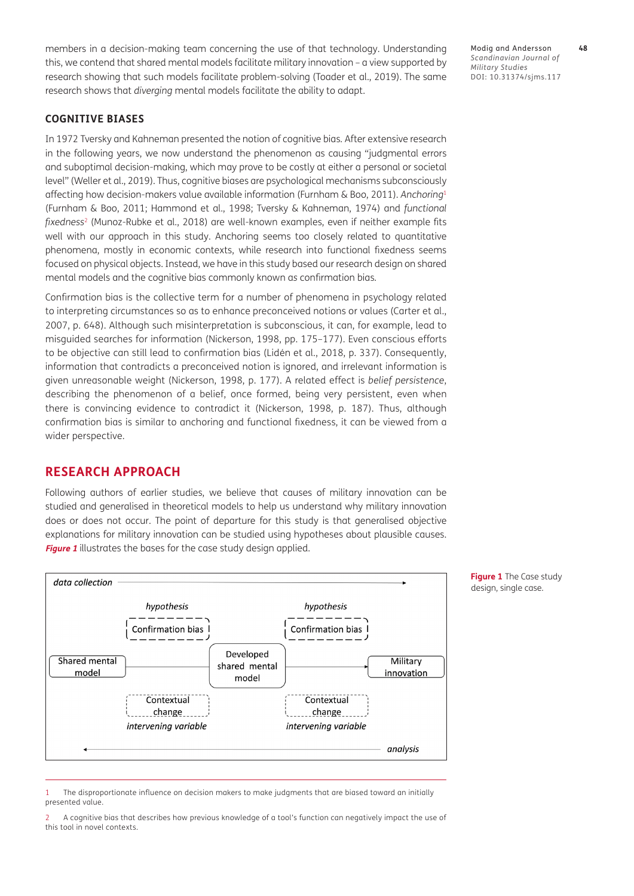members in a decision-making team concerning the use of that technology. Understanding this, we contend that shared mental models facilitate military innovation – a view supported by research showing that such models facilitate problem-solving ([Toader et al., 2019](#page-17-1)). The same research shows that *diverging* mental models facilitate the ability to adapt.

**COGNITIVE BIASES**

In 1972 Tversky and Kahneman presented the notion of cognitive bias*.* After extensive research in the following years, we now understand the phenomenon as causing "judgmental errors and suboptimal decision-making, which may prove to be costly at either a personal or societal level" ([Weller et al., 2019\)](#page-17-2). Thus, cognitive biases are psychological mechanisms subconsciously affecting how decision-makers value available information [\(Furnham & Boo, 2011](#page-15-7)). *Anchoring*[1](#page-3-0) [\(Furnham & Boo, 2011](#page-15-7); [Hammond et al., 1998;](#page-15-8) [Tversky & Kahneman, 1974](#page-17-3)) and *functional fixedness*2 [\(Munoz-Rubke et al., 2018](#page-16-6)) are well-known examples, even if neither example fits well with our approach in this study. Anchoring seems too closely related to quantitative phenomena, mostly in economic contexts, while research into functional fixedness seems focused on physical objects. Instead, we have in this study based our research design on shared mental models and the cognitive bias commonly known a*s* confirmation bias*.*

Confirmation bias is the collective term for a number of phenomena in psychology related to interpreting circumstances so as to enhance preconceived notions or values ([Carter et al.,](#page-15-9)  [2007,](#page-15-9) p. 648). Although such misinterpretation is subconscious, it can, for example, lead to misguided searches for information ([Nickerson, 1998, pp. 175–177\)](#page-16-7). Even conscious efforts to be objective can still lead to confirmation bias (Lidén et al., 2018, p. 337). Consequently, information that contradicts a preconceived notion is ignored, and irrelevant information is given unreasonable weight [\(Nickerson, 1998, p. 177\)](#page-16-7). A related effect is *belief persistence*, describing the phenomenon of a belief, once formed, being very persistent, even when there is convincing evidence to contradict it ([Nickerson, 1998, p. 187\)](#page-16-7). Thus, although confirmation bias is similar to anchoring and functional fixedness, it can be viewed from a wider perspective.

## **RESEARCH APPROACH**

Following authors of earlier studies, we believe that causes of military innovation can be studied and generalised in theoretical models to help us understand why military innovation does or does not occur. The point of departure for this study is that generalised objective explanations for military innovation can be studied using hypotheses about plausible causes. **[Figure 1](#page-3-1)** illustrates the bases for the case study design applied.



<span id="page-3-1"></span>**Figure 1** The Case study design, single case*.*

Modig and Andersson **48** *Scandinavian Journal of Military Studies* DOI: 10.31374/sjms.117

<span id="page-3-0"></span>1 The disproportionate influence on decision makers to make judgments that are biased toward an initially presented value.

2 A cognitive bias that describes how previous knowledge of a tool's function can negatively impact the use of this tool in novel contexts.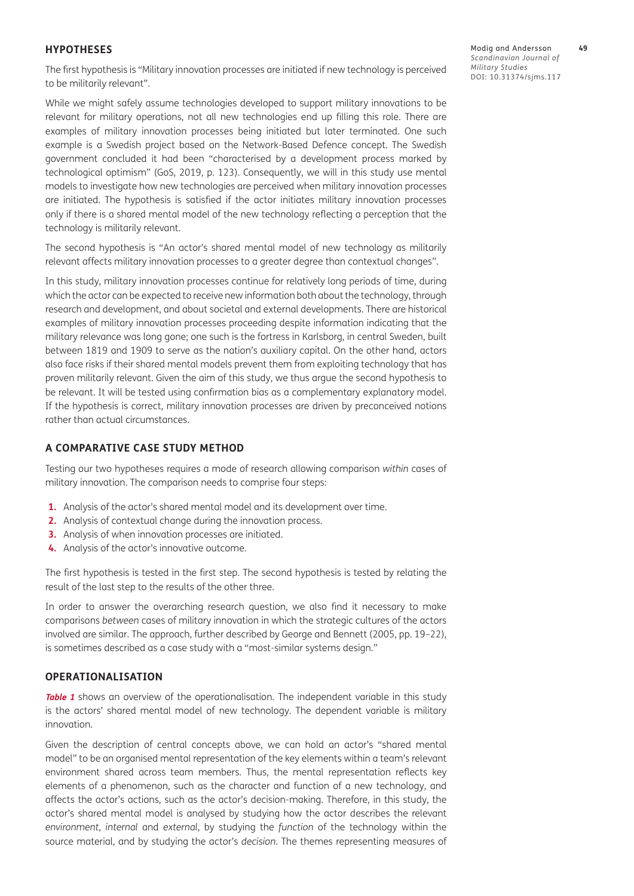#### **HYPOTHESES**

The first hypothesis is "Military innovation processes are initiated if new technology is perceived to be militarily relevant".

While we might safely assume technologies developed to support military innovations to be relevant for military operations, not all new technologies end up filling this role. There are examples of military innovation processes being initiated but later terminated. One such example is a Swedish project based on the Network-Based Defence concept. The Swedish government concluded it had been "characterised by a development process marked by technological optimism" ([GoS, 2019, p. 123](#page-15-10)). Consequently, we will in this study use mental models to investigate how new technologies are perceived when military innovation processes are initiated. The hypothesis is satisfied if the actor initiates military innovation processes only if there is a shared mental model of the new technology reflecting a perception that the technology is militarily relevant.

The second hypothesis is "An actor's shared mental model of new technology as militarily relevant affects military innovation processes to a greater degree than contextual changes".

In this study, military innovation processes continue for relatively long periods of time, during which the actor can be expected to receive new information both about the technology, through research and development, and about societal and external developments. There are historical examples of military innovation processes proceeding despite information indicating that the military relevance was long gone; one such is the fortress in Karlsborg, in central Sweden, built between 1819 and 1909 to serve as the nation's auxiliary capital. On the other hand, actors also face risks if their shared mental models prevent them from exploiting technology that has proven militarily relevant. Given the aim of this study, we thus argue the second hypothesis to be relevant. It will be tested using confirmation bias as a complementary explanatory model. If the hypothesis is correct, military innovation processes are driven by preconceived notions rather than actual circumstances.

#### **A COMPARATIVE CASE STUDY METHOD**

Testing our two hypotheses requires a mode of research allowing comparison *within* cases of military innovation. The comparison needs to comprise four steps:

- **1.** Analysis of the actor's shared mental model and its development over time.
- **2.** Analysis of contextual change during the innovation process.
- **3.** Analysis of when innovation processes are initiated.
- **4.** Analysis of the actor's innovative outcome.

The first hypothesis is tested in the first step. The second hypothesis is tested by relating the result of the last step to the results of the other three.

In order to answer the overarching research question, we also find it necessary to make comparisons *between* cases of military innovation in which the strategic cultures of the actors involved are similar. The approach, further described by George and Bennett ([2005, pp. 19–22](#page-15-11)), is sometimes described as a case study with a "most-similar systems design."

#### **OPERATIONALISATION**

**[Table 1](#page-5-0)** shows an overview of the operationalisation. The independent variable in this study is the actors' shared mental model of new technology. The dependent variable is military innovation.

Given the description of central concepts above, we can hold an actor's "shared mental model" to be an organised mental representation of the key elements within a team's relevant environment shared across team members. Thus, the mental representation reflects key elements of a phenomenon, such as the character and function of a new technology, and affects the actor's actions, such as the actor's decision-making. Therefore, in this study, the actor's shared mental model is analysed by studying how the actor describes the relevant *environment*, *internal* and *external*, by studying the *function* of the technology within the source material, and by studying the actor's *decision*. The themes representing measures of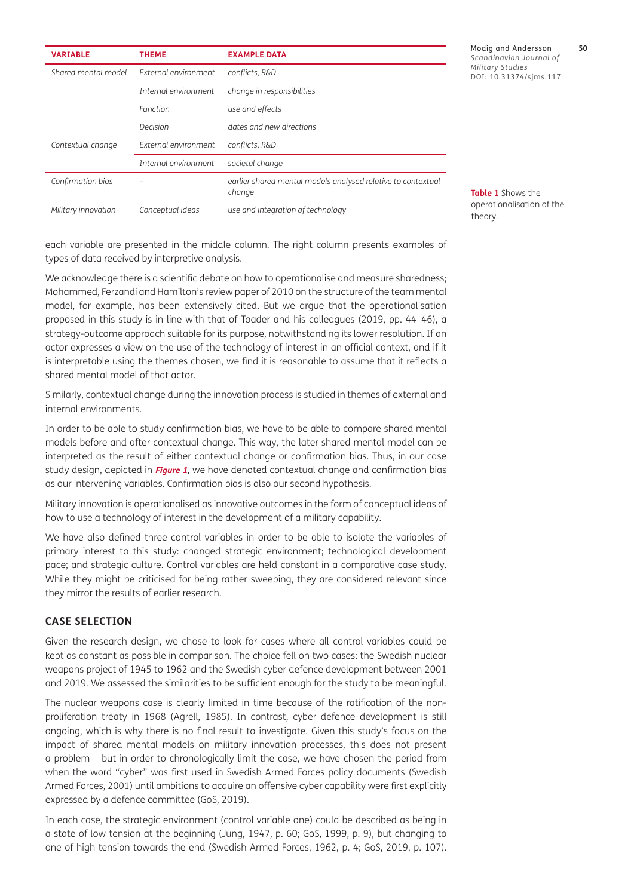| <b>VARIABLE</b>     | <b>THEME</b>         | <b>EXAMPLE DATA</b>                                                    |
|---------------------|----------------------|------------------------------------------------------------------------|
| Shared mental model | External environment | conflicts, R&D                                                         |
|                     | Internal environment | change in responsibilities                                             |
|                     | Function             | use and effects                                                        |
|                     | Decision             | dates and new directions                                               |
| Contextual change   | External environment | conflicts, R&D                                                         |
|                     | Internal environment | societal change                                                        |
| Confirmation bias   |                      | earlier shared mental models analysed relative to contextual<br>change |
| Military innovation | Conceptual ideas     | use and integration of technology                                      |

Modig and Andersson **50** *Scandinavian Journal of Military Studies* DOI: 10.31374/sjms.117

<span id="page-5-0"></span>**Table 1** Shows the operationalisation of the theory.

each variable are presented in the middle column. The right column presents examples of types of data received by interpretive analysis.

We acknowledge there is a scientific debate on how to operationalise and measure sharedness; [Mohammed, Ferzandi and Hamilton's review paper of 2010](#page-16-8) on the structure of the team mental model, for example, has been extensively cited. But we argue that the operationalisation proposed in this study is in line with that of Toader and his colleagues [\(2019, pp. 44–46](#page-17-1)), a strategy-outcome approach suitable for its purpose, notwithstanding its lower resolution. If an actor expresses a view on the use of the technology of interest in an official context, and if it is interpretable using the themes chosen, we find it is reasonable to assume that it reflects a shared mental model of that actor.

Similarly, contextual change during the innovation process is studied in themes of external and internal environments*.* 

In order to be able to study confirmation bias, we have to be able to compare shared mental models before and after contextual change. This way, the later shared mental model can be interpreted as the result of either contextual change or confirmation bias. Thus, in our case study design, depicted in **[Figure 1](#page-3-1)**, we have denoted contextual change and confirmation bias as our intervening variables. Confirmation bias is also our second hypothesis.

Military innovation is operationalised as innovative outcomes in the form of conceptual ideas of how to use a technology of interest in the development of a military capability.

We have also defined three control variables in order to be able to isolate the variables of primary interest to this study: changed strategic environment; technological development pace; and strategic culture. Control variables are held constant in a comparative case study. While they might be criticised for being rather sweeping, they are considered relevant since they mirror the results of earlier research.

#### **CASE SELECTION**

Given the research design, we chose to look for cases where all control variables could be kept as constant as possible in comparison. The choice fell on two cases: the Swedish nuclear weapons project of 1945 to 1962 and the Swedish cyber defence development between 2001 and 2019. We assessed the similarities to be sufficient enough for the study to be meaningful.

The nuclear weapons case is clearly limited in time because of the ratification of the nonproliferation treaty in 1968 [\(Agrell, 1985](#page-14-4)). In contrast, cyber defence development is still ongoing, which is why there is no final result to investigate. Given this study's focus on the impact of shared mental models on military innovation processes, this does not present a problem – but in order to chronologically limit the case, we have chosen the period from when the word "cyber" was first used in Swedish Armed Forces policy documents ([Swedish](#page-16-9)  [Armed Forces, 2001\)](#page-16-9) until ambitions to acquire an offensive cyber capability were first explicitly expressed by a defence committee [\(GoS, 2019\)](#page-15-10).

In each case, the strategic environment (control variable one) could be described as being in a state of low tension at the beginning [\(Jung, 1947, p. 60](#page-16-10); [GoS, 1999, p. 9](#page-15-4)), but changing to one of high tension towards the end ([Swedish Armed Forces, 1962, p. 4;](#page-16-11) [GoS, 2019, p. 107](#page-15-10)).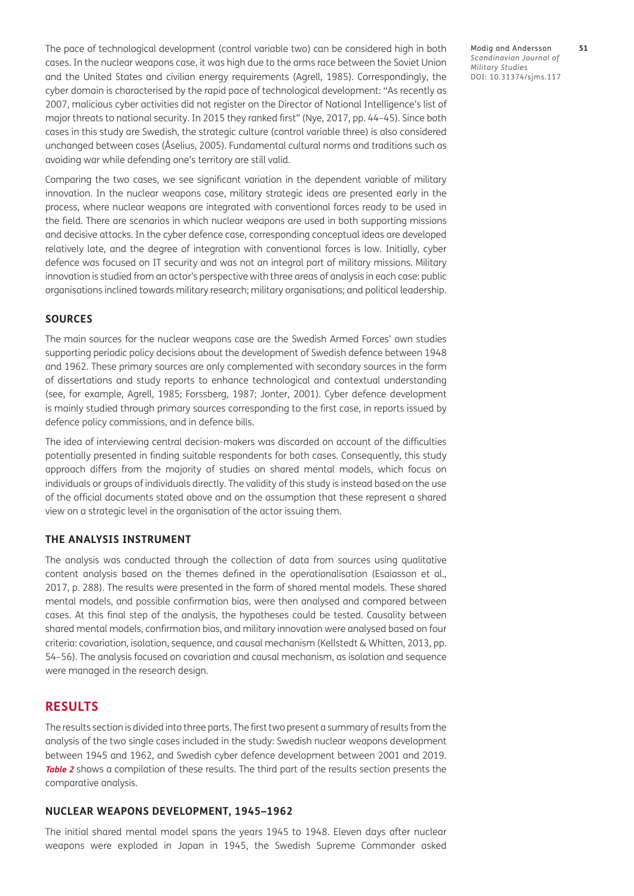The pace of technological development (control variable two) can be considered high in both cases. In the nuclear weapons case, it was high due to the arms race between the Soviet Union and the United States and civilian energy requirements [\(Agrell, 1985](#page-14-4)). Correspondingly, the cyber domain is characterised by the rapid pace of technological development: "As recently as 2007, malicious cyber activities did not register on the Director of National Intelligence's list of major threats to national security. In 2015 they ranked first" ([Nye, 2017, pp. 44–45\)](#page-16-12). Since both cases in this study are Swedish, the strategic culture (control variable three) is also considered unchanged between cases ([Åselius, 2005\)](#page-14-5). Fundamental cultural norms and traditions such as avoiding war while defending one's territory are still valid.

Comparing the two cases, we see significant variation in the dependent variable of military innovation. In the nuclear weapons case, military strategic ideas are presented early in the process, where nuclear weapons are integrated with conventional forces ready to be used in the field. There are scenarios in which nuclear weapons are used in both supporting missions and decisive attacks. In the cyber defence case, corresponding conceptual ideas are developed relatively late, and the degree of integration with conventional forces is low. Initially, cyber defence was focused on IT security and was not an integral part of military missions. Military innovation is studied from an actor's perspective with three areas of analysis in each case: public organisations inclined towards military research; military organisations; and political leadership.

#### **SOURCES**

The main sources for the nuclear weapons case are the Swedish Armed Forces' own studies supporting periodic policy decisions about the development of [Swedish defence between 1948](#page-16-11)  [and 1962](#page-16-11). These primary sources are only complemented with secondary sources in the form of dissertations and study reports to enhance technological and contextual understanding (see, for example, [Agrell, 1985;](#page-14-4) [Forssberg, 1987](#page-15-12); [Jonter, 2001](#page-15-13)). Cyber defence development is mainly studied through primary sources corresponding to the first case, in reports issued by defence policy commissions, and in defence bills.

The idea of interviewing central decision-makers was discarded on account of the difficulties potentially presented in finding suitable respondents for both cases. Consequently, this study approach differs from the majority of studies on shared mental models, which focus on individuals or groups of individuals directly. The validity of this study is instead based on the use of the official documents stated above and on the assumption that these represent a shared view on a strategic level in the organisation of the actor issuing them.

#### **THE ANALYSIS INSTRUMENT**

The analysis was conducted through the collection of data from sources using qualitative content analysis based on the themes defined in the operationalisation (Esaiasson et al., 2017, p. 288). The results were presented in the form of shared mental models. These shared mental models, and possible confirmation bias, were then analysed and compared between cases. At this final step of the analysis, the hypotheses could be tested. Causality between shared mental models, confirmation bias, and military innovation were analysed based on four criteria: covariation, isolation, sequence, and causal mechanism ([Kellstedt & Whitten, 2013, pp.](#page-16-13)  [54–56\)](#page-16-13). The analysis focused on covariation and causal mechanism, as isolation and sequence were managed in the research design.

## **RESULTS**

The results section is divided into three parts. The first two present a summary of results from the analysis of the two single cases included in the study: Swedish nuclear weapons development between 1945 and [1962,](#page-16-11) and Swedish cyber defence development between 2001 and 2019. **[Table 2](#page-7-0)** shows a compilation of these results. The third part of the results section presents the comparative analysis.

#### **NUCLEAR WEAPONS DEVELOPMENT, 1945–1962**

The initial shared mental model spans the years 1945 to 1948. Eleven days after nuclear weapons were exploded in Japan in 1945, the Swedish Supreme Commander asked Modig and Andersson **51** *Scandinavian Journal of Military Studies* DOI: 10.31374/sjms.117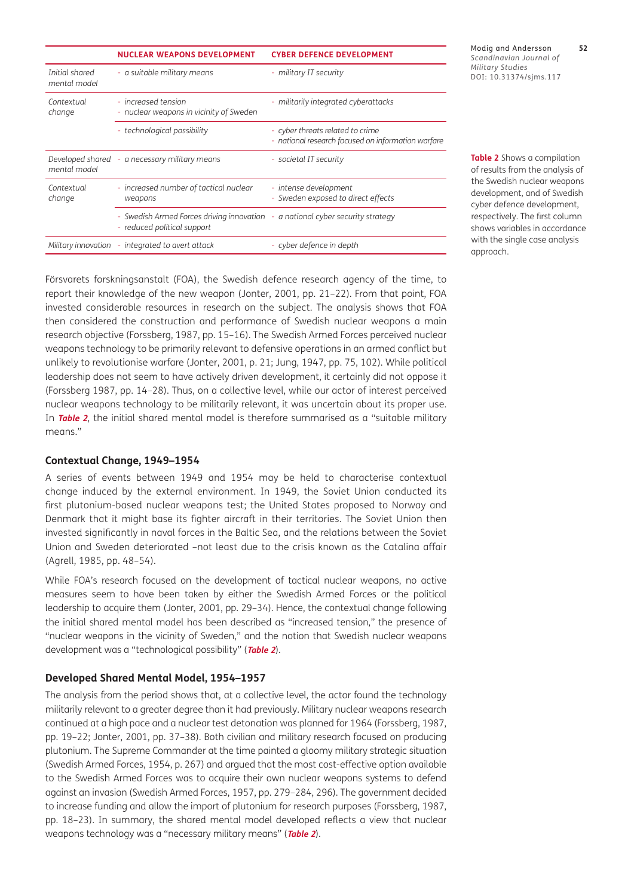|                                | <b>NUCLEAR WEAPONS DEVELOPMENT</b>                                                                            | <b>CYBER DEFENCE DEVELOPMENT</b>                                                       |
|--------------------------------|---------------------------------------------------------------------------------------------------------------|----------------------------------------------------------------------------------------|
| Initial shared<br>mental model | - a suitable military means                                                                                   | - military IT security                                                                 |
| Contextual<br>change           | - increased tension<br>- nuclear weapons in vicinity of Sweden                                                | - militarily integrated cyberattacks                                                   |
|                                | - technological possibility                                                                                   | - cyber threats related to crime<br>- national research focused on information warfare |
| mental model                   | Developed shared - a necessary military means                                                                 | - societal IT security                                                                 |
| Contextual<br>change           | - increased number of tactical nuclear<br>weapons                                                             | - intense development<br>- Sweden exposed to direct effects                            |
|                                | - Swedish Armed Forces driving innovation - a national cyber security strategy<br>- reduced political support |                                                                                        |
| Military innovation            | - integrated to avert attack                                                                                  | - cyber defence in depth                                                               |

Modig and Andersson **52** *Scandinavian Journal of Military Studies* DOI: 10.31374/sjms.117

<span id="page-7-0"></span>**Table 2** Shows a compilation of results from the analysis of the Swedish nuclear weapons development, and of Swedish cyber defence development, respectively. The first column shows variables in accordance with the single case analysis approach.

Försvarets forskningsanstalt (FOA), the Swedish defence research agency of the time, to report their knowledge of the new weapon ([Jonter, 2001, pp. 21–22](#page-15-13)). From that point, FOA invested considerable resources in research on the subject. The analysis shows that FOA then considered the construction and performance of Swedish nuclear weapons a main research objective ([Forssberg, 1987,](#page-15-12) pp. 15–16). The Swedish Armed Forces perceived nuclear weapons technology to be primarily relevant to defensive operations in an armed conflict but unlikely to revolutionise warfare [\(Jonter, 2001, p. 21](#page-15-13); [Jung, 1947, pp. 75, 102](#page-16-10)). While political leadership does not seem to have actively driven development, it certainly did not oppose it ([Forssberg 1987, pp. 14–28\)](#page-15-12). Thus, on a collective level, while our actor of interest perceived nuclear weapons technology to be militarily relevant, it was uncertain about its proper use. In **[Table 2](#page-7-0)**, the initial shared mental model is therefore summarised as a "suitable military means."

#### **Contextual Change, 1949–1954**

A series of events between 1949 and 1954 may be held to characterise contextual change induced by the external environment. In 1949, the Soviet Union conducted its first plutonium-based nuclear weapons test; the United States proposed to Norway and Denmark that it might base its fighter aircraft in their territories. The Soviet Union then invested significantly in naval forces in the Baltic Sea, and the relations between the Soviet Union and Sweden deteriorated –not least due to the crisis known as the Catalina affair ([Agrell, 1985, pp. 48–54](#page-14-4)).

While FOA's research focused on the development of tactical nuclear weapons, no active measures seem to have been taken by either the Swedish Armed Forces or the political leadership to acquire them [\(Jonter, 2001, pp. 29–34\)](#page-15-13). Hence, the contextual change following the initial shared mental model has been described as "increased tension," the presence of "nuclear weapons in the vicinity of Sweden," and the notion that Swedish nuclear weapons development was a "technological possibility" (**[Table 2](#page-7-0)**).

#### **Developed Shared Mental Model, 1954–1957**

The analysis from the period shows that, at a collective level, the actor found the technology militarily relevant to a greater degree than it had previously. Military nuclear weapons research continued at a high pace and a nuclear test detonation was planned for 1964 [\(Forssberg, 1987,](#page-15-12)  [pp. 19–22;](#page-15-12) [Jonter, 2001, pp. 37–38\)](#page-15-13). Both civilian and military research focused on producing plutonium. The Supreme Commander at the time painted a gloomy military strategic situation [\(Swedish Armed Forces, 1954, p. 267\)](#page-16-14) and argued that the most cost-effective option available to the Swedish Armed Forces was to acquire their own nuclear weapons systems to defend against an invasion [\(Swedish Armed Forces, 1957, pp. 279–284, 296](#page-16-15)). The government decided to increase funding and allow the import of plutonium for research purposes [\(Forssberg, 1987,](#page-15-12)  [pp. 18–23\)](#page-15-12). In summary, the shared mental model developed reflects a view that nuclear weapons technology was a "necessary military means" (**[Table 2](#page-7-0)**).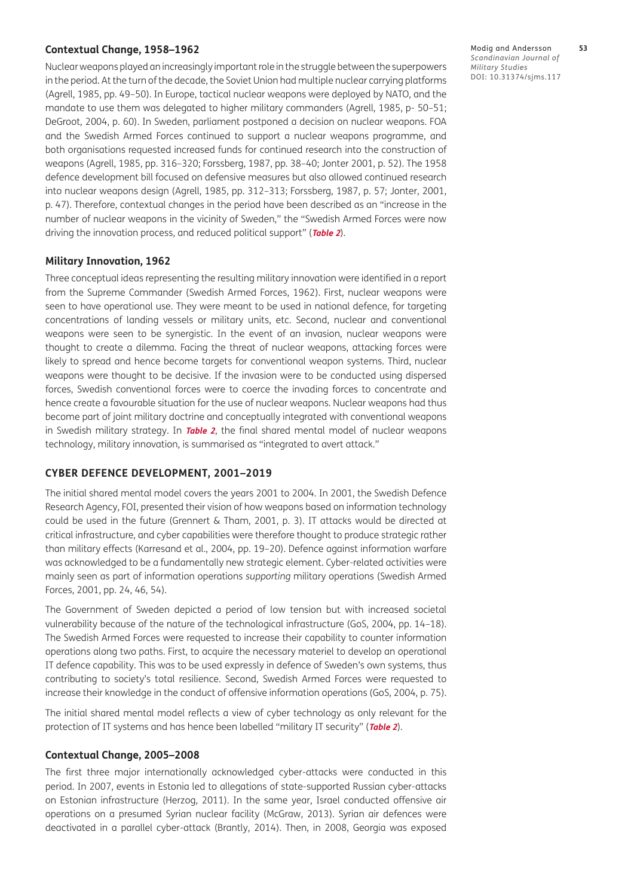#### **Contextual Change, 1958–1962**

Nuclear weapons played an increasingly important role in the struggle between the superpowers in the period. At the turn of the decade, the Soviet Union had multiple nuclear carrying platforms [\(Agrell, 1985, pp. 49–50](#page-14-4)). In Europe, tactical nuclear weapons were deployed by NATO, and the mandate to use them was delegated to higher military commanders ([Agrell, 1985, p- 50–51](#page-14-4); [DeGroot, 2004, p. 60\)](#page-15-14). In Sweden, parliament postponed a decision on nuclear weapons. FOA and the Swedish Armed Forces continued to support a nuclear weapons programme, and both organisations requested increased funds for continued research into the construction of weapons [\(Agrell, 1985, pp. 316–320](#page-14-4); [Forssberg, 1987, pp. 38–40;](#page-15-12) [Jonter 2001, p. 52\)](#page-15-13). The 1958 defence development bill focused on defensive measures but also allowed continued research into nuclear weapons design [\(Agrell, 1985, pp. 312–313](#page-14-4); [Forssberg, 1987, p. 57;](#page-15-12) [Jonter, 2001,](#page-15-13)  p. [47](#page-15-13)). Therefore, contextual changes in the period have been described as an "increase in the number of nuclear weapons in the vicinity of Sweden," the "Swedish Armed Forces were now driving the innovation process, and reduced political support" (**[Table 2](#page-7-0)**).

#### **Military Innovation, 1962**

Three conceptual ideas representing the resulting military innovation were identified in a report from the Supreme Commander ([Swedish Armed Forces, 1962\)](#page-16-11). First, nuclear weapons were seen to have operational use. They were meant to be used in national defence, for targeting concentrations of landing vessels or military units, etc. Second, nuclear and conventional weapons were seen to be synergistic. In the event of an invasion, nuclear weapons were thought to create a dilemma. Facing the threat of nuclear weapons, attacking forces were likely to spread and hence become targets for conventional weapon systems. Third, nuclear weapons were thought to be decisive. If the invasion were to be conducted using dispersed forces, Swedish conventional forces were to coerce the invading forces to concentrate and hence create a favourable situation for the use of nuclear weapons. Nuclear weapons had thus become part of joint military doctrine and conceptually integrated with conventional weapons in Swedish military strategy. In **[Table 2](#page-7-0)**, the final shared mental model of nuclear weapons technology, military innovation, is summarised as "integrated to avert attack."

#### **CYBER DEFENCE DEVELOPMENT, 2001–2019**

The initial shared mental model covers the years 2001 to 2004. In 2001, the Swedish Defence Research Agency, FOI, presented their vision of how weapons based on information technology could be used in the future ([Grennert & Tham, 2001, p. 3](#page-15-15)). IT attacks would be directed at critical infrastructure, and cyber capabilities were therefore thought to produce strategic rather than military effects ([Karresand et al., 2004,](#page-16-16) pp. 19–20). Defence against information warfare was acknowledged to be a fundamentally new strategic element. Cyber-related activities were mainly seen as part of information operations *supporting* military operations ([Swedish Armed](#page-16-9)  [Forces, 2001, pp. 24, 46, 54\)](#page-16-9).

The Government of Sweden depicted a period of low tension but with increased societal vulnerability because of the nature of the technological infrastructure ([GoS, 2004, pp. 14–18](#page-15-16)). The Swedish Armed Forces were requested to increase their capability to counter information operations along two paths. First, to acquire the necessary materiel to develop an operational IT defence capability. This was to be used expressly in defence of Sweden's own systems, thus contributing to society's total resilience. Second, Swedish Armed Forces were requested to increase their knowledge in the conduct of offensive information operations (GoS, 2004, p. 75).

The initial shared mental model reflects a view of cyber technology as only relevant for the protection of IT systems and has hence been labelled "military IT security" (**[Table 2](#page-7-0)**).

#### **Contextual Change, 2005–2008**

The first three major internationally acknowledged cyber-attacks were conducted in this period. In 2007, events in Estonia led to allegations of state-supported Russian cyber-attacks on Estonian infrastructure ([Herzog, 2011](#page-15-17)). In the same year, Israel conducted offensive air operations on a presumed Syrian nuclear facility [\(McGraw, 2013](#page-16-17)). Syrian air defences were deactivated in a parallel cyber-attack [\(Brantly, 2014](#page-14-6)). Then, in 2008, Georgia was exposed Modig and Andersson **53** *Scandinavian Journal of Military Studies* DOI: 10.31374/sjms.117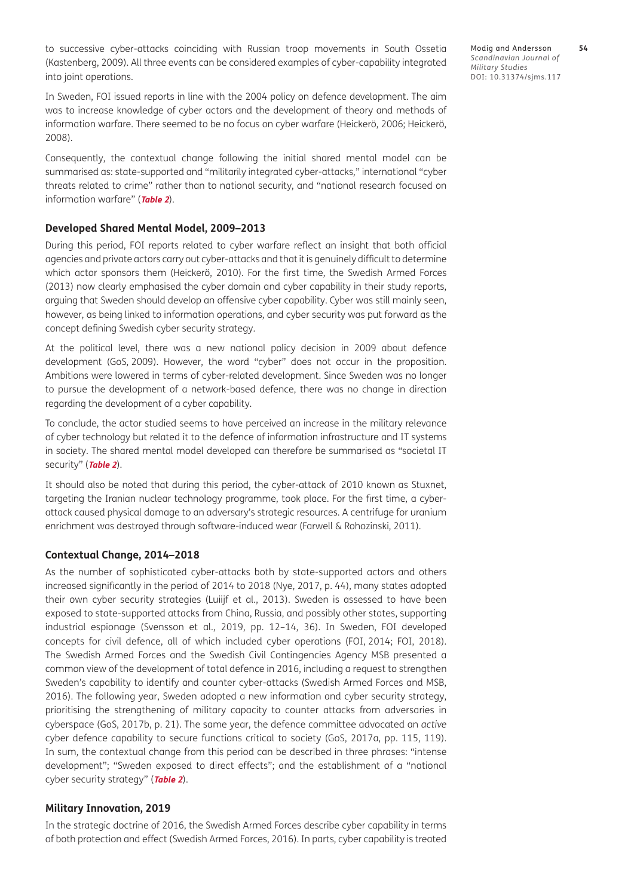to successive cyber-attacks coinciding with Russian troop movements in South Ossetia [\(Kastenberg, 2009\)](#page-16-18). All three events can be considered examples of cyber-capability integrated into joint operations.

In Sweden, FOI issued reports in line with the 2004 policy on defence development. The aim was to increase knowledge of cyber actors and the development of theory and methods of information warfare. There seemed to be no focus on cyber warfare (Heickerö, 2006; Heickerö, 2008).

Consequently, the contextual change following the initial shared mental model can be summarised as: state-supported and "militarily integrated cyber-attacks," international "cyber threats related to crime" rather than to national security, and "national research focused on information warfare" (**[Table 2](#page-7-0)**).

#### **Developed Shared Mental Model, 2009–2013**

During this period, FOI reports related to cyber warfare reflect an insight that both official agencies and private actors carry out cyber-attacks and that it is genuinely difficult to determine which actor sponsors them (Heickerö, 2010). For the first time, the Swedish Armed Forces [\(2013](#page-16-19)) now clearly emphasised the cyber domain and cyber capability in their study reports, arguing that Sweden should develop an offensive cyber capability. Cyber was still mainly seen, however, as being linked to information operations, and cyber security was put forward as the concept defining Swedish cyber security strategy.

At the political level, there was a new national policy decision in 2009 about defence development (GoS, [2009\)](#page-15-18). However, the word "cyber" does not occur in the proposition. Ambitions were lowered in terms of cyber-related development. Since Sweden was no longer to pursue the development of a network-based defence, there was no change in direction regarding the development of a cyber capability.

To conclude, the actor studied seems to have perceived an increase in the military relevance of cyber technology but related it to the defence of information infrastructure and IT systems in society. The shared mental model developed can therefore be summarised as *"*societal IT security" (**[Table 2](#page-7-0)**).

It should also be noted that during this period, the cyber-attack of 2010 known as Stuxnet, targeting the Iranian nuclear technology programme, took place. For the first time, a cyberattack caused physical damage to an adversary's strategic resources. A centrifuge for uranium enrichment was destroyed through software-induced wear [\(Farwell & Rohozinski, 2011](#page-15-19)).

#### **Contextual Change, 2014–2018**

As the number of sophisticated cyber-attacks both by state-supported actors and others increased significantly in the period of 2014 to 2018 [\(Nye, 2017, p. 44\)](#page-16-12), many states adopted their own cyber security strategies ([Luiijf et al., 2013\)](#page-16-20). Sweden is assessed to have been exposed to state-supported attacks from China, Russia, and possibly other states, supporting industrial espionage [\(Svensson et al., 2019, pp. 12–14, 36\)](#page-16-21). In Sweden, FOI developed concepts for civil defence, all of which included cyber operations (FOI, [2014;](#page-15-20) [FOI, 2018](#page-15-21)). The Swedish Armed Forces and the Swedish Civil Contingencies Agency MSB presented a common view of the development of total defence in 2016, including a request to strengthen Sweden's capability to identify and counter cyber-attacks [\(Swedish Armed Forces and MSB,](#page-16-22)  [2016](#page-16-22)). The following year, Sweden adopted a new information and cyber security strategy, prioritising the strengthening of military capacity to counter attacks from adversaries in cyberspace ([GoS, 2017b, p. 21\)](#page-15-22). The same year, the defence committee advocated an *active* cyber defence capability to secure functions critical to society [\(GoS, 2017a, pp. 115, 119](#page-15-23)). In sum, the contextual change from this period can be described in three phrases: "intense development"; "Sweden exposed to direct effects"; and the establishment of a "national cyber security strategy" (**[Table 2](#page-7-0)**).

#### **Military Innovation, 2019**

In the strategic doctrine of 2016, the Swedish Armed Forces describe cyber capability in terms of both protection and effect ([Swedish Armed Forces, 2016\)](#page-16-22). In parts, cyber capability is treated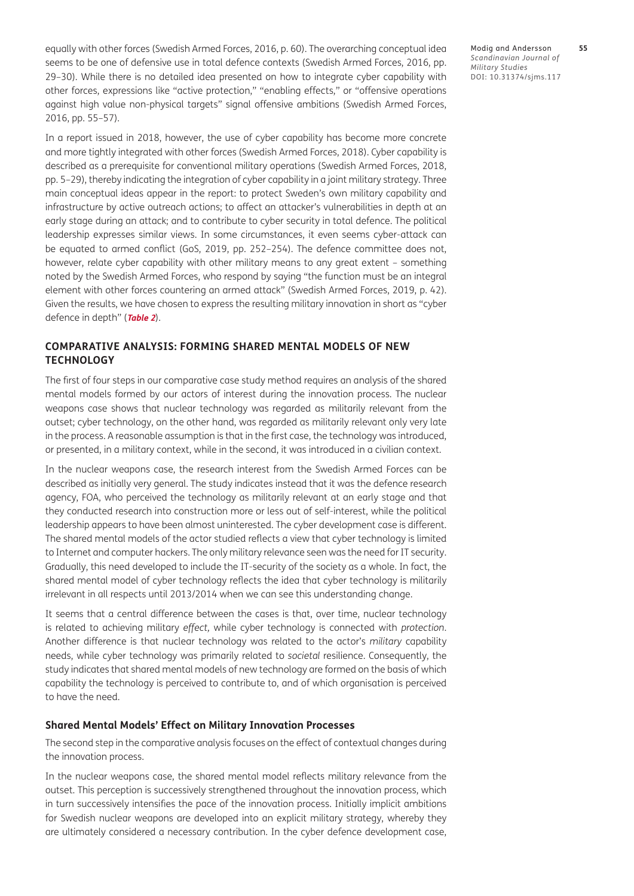equally with other forces ([Swedish Armed Forces, 2016, p. 60](#page-16-22)). The overarching conceptual idea seems to be one of defensive use in total defence contexts ([Swedish Armed Forces, 2016, pp.](#page-16-22)  [29–30\)](#page-16-22). While there is no detailed idea presented on how to integrate cyber capability with other forces, expressions like "active protection," "enabling effects," or "offensive operations against high value non-physical targets" signal offensive ambitions [\(Swedish Armed Forces,](#page-16-22)  [2016, pp. 55–57](#page-16-22)).

In a report issued in 2018, however, the use of cyber capability has become more concrete and more tightly integrated with other forces [\(Swedish Armed Forces, 2018\)](#page-16-23). Cyber capability is described as a prerequisite for conventional military operations ([Swedish Armed Forces, 2018,](#page-16-23)  [pp. 5–29\)](#page-16-23), thereby indicating the integration of cyber capability in a joint military strategy. Three main conceptual ideas appear in the report: to protect Sweden's own military capability and infrastructure by active outreach actions; to affect an attacker's vulnerabilities in depth at an early stage during an attack; and to contribute to cyber security in total defence. The political leadership expresses similar views. In some circumstances, it even seems cyber-attack can be equated to armed conflict [\(GoS, 2019, pp. 252–254](#page-15-10)). The defence committee does not, however, relate cyber capability with other military means to any great extent – something noted by the Swedish Armed Forces, who respond by saying "the function must be an integral element with other forces countering an armed attack" [\(Swedish Armed Forces, 2019, p. 42](#page-16-24)). Given the results, we have chosen to express the resulting military innovation in short as "cyber defence in depth" (**[Table 2](#page-7-0)**).

#### **COMPARATIVE ANALYSIS: FORMING SHARED MENTAL MODELS OF NEW TECHNOLOGY**

The first of four steps in our comparative case study method requires an analysis of the shared mental models formed by our actors of interest during the innovation process. The nuclear weapons case shows that nuclear technology was regarded as militarily relevant from the outset; cyber technology, on the other hand, was regarded as militarily relevant only very late in the process. A reasonable assumption is that in the first case, the technology was introduced, or presented, in a military context, while in the second, it was introduced in a civilian context.

In the nuclear weapons case, the research interest from the Swedish Armed Forces can be described as initially very general. The study indicates instead that it was the defence research agency, FOA, who perceived the technology as militarily relevant at an early stage and that they conducted research into construction more or less out of self-interest, while the political leadership appears to have been almost uninterested. The cyber development case is different. The shared mental models of the actor studied reflects a view that cyber technology is limited to Internet and computer hackers. The only military relevance seen was the need for IT security. Gradually, this need developed to include the IT-security of the society as a whole. In fact, the shared mental model of cyber technology reflects the idea that cyber technology is militarily irrelevant in all respects until 2013/2014 when we can see this understanding change.

It seems that a central difference between the cases is that, over time, nuclear technology is related to achieving military *effect,* while cyber technology is connected with *protection*. Another difference is that nuclear technology was related to the actor's *military* capability needs, while cyber technology was primarily related to *societal* resilience. Consequently, the study indicates that shared mental models of new technology are formed on the basis of which capability the technology is perceived to contribute to, and of which organisation is perceived to have the need.

#### **Shared Mental Models' Effect on Military Innovation Processes**

The second step in the comparative analysis focuses on the effect of contextual changes during the innovation process.

In the nuclear weapons case, the shared mental model reflects military relevance from the outset. This perception is successively strengthened throughout the innovation process, which in turn successively intensifies the pace of the innovation process. Initially implicit ambitions for Swedish nuclear weapons are developed into an explicit military strategy, whereby they are ultimately considered a necessary contribution. In the cyber defence development case,

Modig and Andersson **55** *Scandinavian Journal of Military Studies* DOI: 10.31374/sjms.117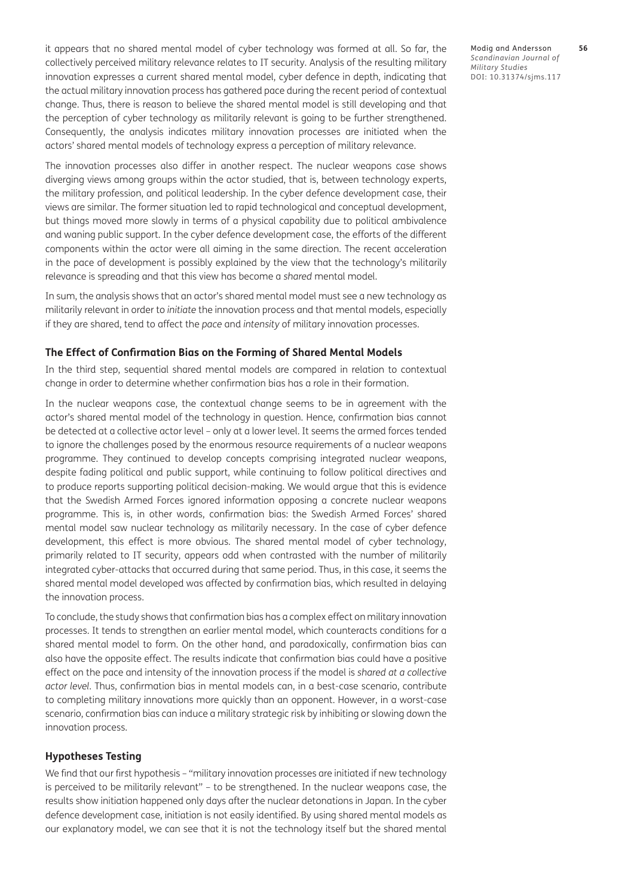it appears that no shared mental model of cyber technology was formed at all. So far, the collectively perceived military relevance relates to IT security. Analysis of the resulting military innovation expresses a current shared mental model, cyber defence in depth, indicating that the actual military innovation process has gathered pace during the recent period of contextual change. Thus, there is reason to believe the shared mental model is still developing and that the perception of cyber technology as militarily relevant is going to be further strengthened. Consequently, the analysis indicates military innovation processes are initiated when the actors' shared mental models of technology express a perception of military relevance.

The innovation processes also differ in another respect. The nuclear weapons case shows diverging views among groups within the actor studied, that is, between technology experts, the military profession, and political leadership. In the cyber defence development case, their views are similar. The former situation led to rapid technological and conceptual development, but things moved more slowly in terms of a physical capability due to political ambivalence and waning public support. In the cyber defence development case, the efforts of the different components within the actor were all aiming in the same direction. The recent acceleration in the pace of development is possibly explained by the view that the technology's militarily relevance is spreading and that this view has become a *shared* mental model.

In sum, the analysis shows that an actor's shared mental model must see a new technology as militarily relevant in order to *initiate* the innovation process and that mental models, especially if they are shared, tend to affect the *pace* and *intensity* of military innovation processes.

#### **The Effect of Confirmation Bias on the Forming of Shared Mental Models**

In the third step, sequential shared mental models are compared in relation to contextual change in order to determine whether confirmation bias has a role in their formation.

In the nuclear weapons case, the contextual change seems to be in agreement with the actor's shared mental model of the technology in question. Hence, confirmation bias cannot be detected at a collective actor level – only at a lower level. It seems the armed forces tended to ignore the challenges posed by the enormous resource requirements of a nuclear weapons programme. They continued to develop concepts comprising integrated nuclear weapons, despite fading political and public support, while continuing to follow political directives and to produce reports supporting political decision-making. We would argue that this is evidence that the Swedish Armed Forces ignored information opposing a concrete nuclear weapons programme. This is, in other words, confirmation bias: the Swedish Armed Forces' shared mental model saw nuclear technology as militarily necessary. In the case of cyber defence development, this effect is more obvious. The shared mental model of cyber technology, primarily related to IT security, appears odd when contrasted with the number of militarily integrated cyber-attacks that occurred during that same period. Thus, in this case, it seems the shared mental model developed was affected by confirmation bias, which resulted in delaying the innovation process.

To conclude, the study shows that confirmation bias has a complex effect on military innovation processes. It tends to strengthen an earlier mental model*,* which counteracts conditions for a shared mental model to form. On the other hand, and paradoxically, confirmation bias can also have the opposite effect. The results indicate that confirmation bias could have a positive effect on the pace and intensity of the innovation process if the model is *shared at a collective actor level*. Thus, confirmation bias in mental models can, in a best-case scenario, contribute to completing military innovations more quickly than an opponent. However, in a worst-case scenario, confirmation bias can induce a military strategic risk by inhibiting or slowing down the innovation process.

#### **Hypotheses Testing**

We find that our first hypothesis – "military innovation processes are initiated if new technology is perceived to be militarily relevant" – to be strengthened. In the nuclear weapons case, the results show initiation happened only days after the nuclear detonations in Japan. In the cyber defence development case, initiation is not easily identified. By using shared mental models as our explanatory model, we can see that it is not the technology itself but the shared mental Modig and Andersson **56** *Scandinavian Journal of Military Studies* DOI: 10.31374/sjms.117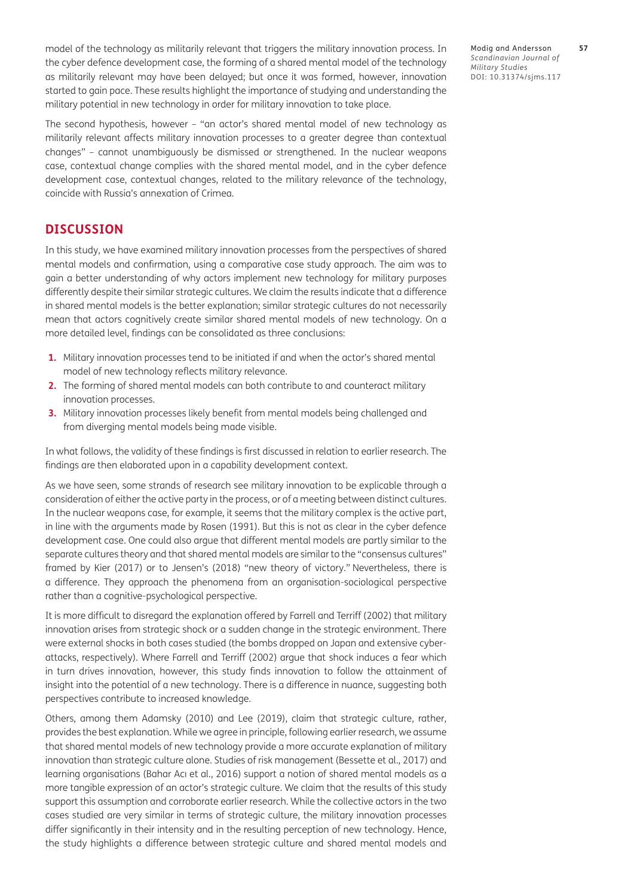model of the technology as militarily relevant that triggers the military innovation process. In the cyber defence development case, the forming of a shared mental model of the technology as militarily relevant may have been delayed; but once it was formed, however, innovation started to gain pace. These results highlight the importance of studying and understanding the military potential in new technology in order for military innovation to take place.

The second hypothesis, however *–* "an actor's shared mental model of new technology as militarily relevant affects military innovation processes to a greater degree than contextual changes" *–* cannot unambiguously be dismissed or strengthened. In the nuclear weapons case, contextual change complies with the shared mental model, and in the cyber defence development case, contextual changes, related to the military relevance of the technology, coincide with Russia's annexation of Crimea.

## **DISCUSSION**

In this study, we have examined military innovation processes from the perspectives of shared mental models and confirmation, using a comparative case study approach. The aim was to gain a better understanding of why actors implement new technology for military purposes differently despite their similar strategic cultures. We claim the results indicate that a difference in shared mental models is the better explanation; similar strategic cultures do not necessarily mean that actors cognitively create similar shared mental models of new technology. On a more detailed level, findings can be consolidated as three conclusions:

- **1.** Military innovation processes tend to be initiated if and when the actor's shared mental model of new technology reflects military relevance.
- **2.** The forming of shared mental models can both contribute to and counteract military innovation processes.
- **3.** Military innovation processes likely benefit from mental models being challenged and from diverging mental models being made visible.

In what follows, the validity of these findings is first discussed in relation to earlier research. The findings are then elaborated upon in a capability development context.

As we have seen, some strands of research see military innovation to be explicable through a consideration of either the active party in the process, or of a meeting between distinct cultures. In the nuclear weapons case, for example, it seems that the military complex is the active part, in line with the arguments made by Rosen [\(1991\)](#page-16-0). But this is not as clear in the cyber defence development case. One could also argue that different mental models are partly similar to the separate cultures theory and that shared mental models are similar to the "consensus cultures" framed by Kier [\(2017\)](#page-16-3) or to Jensen's [\(2018\)](#page-15-24) "new theory of victory." Nevertheless, there is a difference. They approach the phenomena from an organisation-sociological perspective rather than a cognitive-psychological perspective.

It is more difficult to disregard the explanation offered by Farrell and Terriff [\(2002](#page-15-5)) that military innovation arises from strategic shock or a sudden change in the strategic environment. There were external shocks in both cases studied (the bombs dropped on Japan and extensive cyberattacks, respectively). Where Farrell and Terriff ([2002](#page-15-5)) argue that shock induces a fear which in turn drives innovation, however, this study finds innovation to follow the attainment of insight into the potential of a new technology. There is a difference in nuance, suggesting both perspectives contribute to increased knowledge.

Others, among them Adamsky [\(2010\)](#page-14-1) and Lee [\(2019](#page-16-4)), claim that strategic culture, rather, provides the best explanation. While we agree in principle, following earlier research, we assume that shared mental models of new technology provide a more accurate explanation of military innovation than strategic culture alone. Studies of risk management (Bessette et al., 2017) and learning organisations (Bahar Acı et al., 2016) support a notion of shared mental models as a more tangible expression of an actor's strategic culture. We claim that the results of this study support this assumption and corroborate earlier research. While the collective actors in the two cases studied are very similar in terms of strategic culture, the military innovation processes differ significantly in their intensity and in the resulting perception of new technology. Hence, the study highlights a difference between strategic culture and shared mental models and Modig and Andersson **57** *Scandinavian Journal of Military Studies* DOI: 10.31374/sjms.117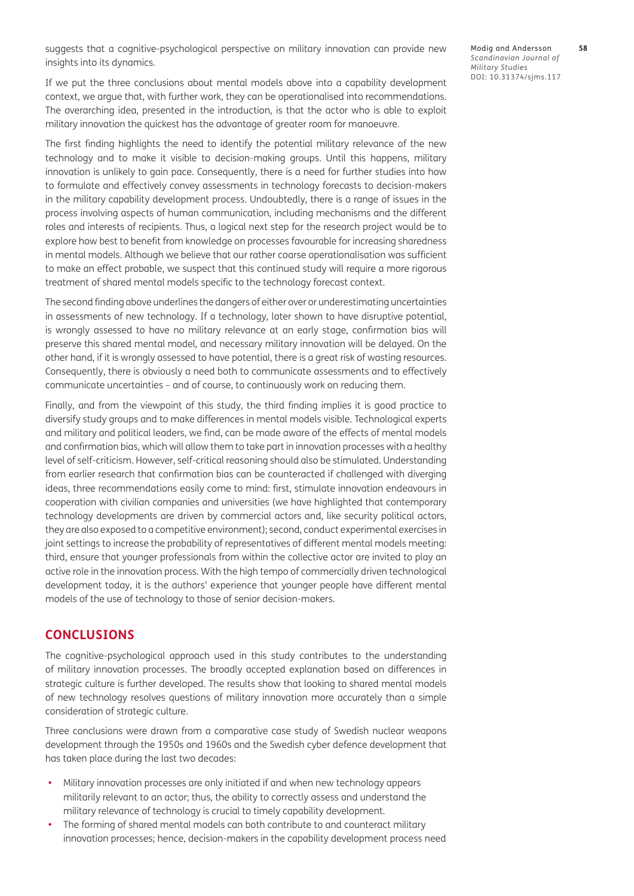suggests that a cognitive-psychological perspective on military innovation can provide new insights into its dynamics.

If we put the three conclusions about mental models above into a capability development context, we argue that, with further work, they can be operationalised into recommendations. The overarching idea, presented in the introduction, is that the actor who is able to exploit military innovation the quickest has the advantage of greater room for manoeuvre.

The first finding highlights the need to identify the potential military relevance of the new technology and to make it visible to decision-making groups. Until this happens, military innovation is unlikely to gain pace. Consequently, there is a need for further studies into how to formulate and effectively convey assessments in technology forecasts to decision-makers in the military capability development process. Undoubtedly, there is a range of issues in the process involving aspects of human communication, including mechanisms and the different roles and interests of recipients. Thus, a logical next step for the research project would be to explore how best to benefit from knowledge on processes favourable for increasing sharedness in mental models. Although we believe that our rather coarse operationalisation was sufficient to make an effect probable, we suspect that this continued study will require a more rigorous treatment of shared mental models specific to the technology forecast context.

The second finding above underlines the dangers of either over or underestimating uncertainties in assessments of new technology. If a technology, later shown to have disruptive potential, is wrongly assessed to have no military relevance at an early stage, confirmation bias will preserve this shared mental model, and necessary military innovation will be delayed. On the other hand, if it is wrongly assessed to have potential, there is a great risk of wasting resources. Consequently, there is obviously a need both to communicate assessments and to effectively communicate uncertainties – and of course, to continuously work on reducing them.

Finally, and from the viewpoint of this study, the third finding implies it is good practice to diversify study groups and to make differences in mental models visible. Technological experts and military and political leaders, we find, can be made aware of the effects of mental models and confirmation bias, which will allow them to take part in innovation processes with a healthy level of self-criticism. However, self-critical reasoning should also be stimulated. Understanding from earlier research that confirmation bias can be counteracted if challenged with diverging ideas, three recommendations easily come to mind: first, stimulate innovation endeavours in cooperation with civilian companies and universities (we have highlighted that contemporary technology developments are driven by commercial actors and, like security political actors, they are also exposed to a competitive environment); second, conduct experimental exercises in joint settings to increase the probability of representatives of different mental models meeting: third, ensure that younger professionals from within the collective actor are invited to play an active role in the innovation process. With the high tempo of commercially driven technological development today, it is the authors' experience that younger people have different mental models of the use of technology to those of senior decision-makers.

## **CONCLUSIONS**

The cognitive-psychological approach used in this study contributes to the understanding of military innovation processes. The broadly accepted explanation based on differences in strategic culture is further developed. The results show that looking to shared mental models of new technology resolves questions of military innovation more accurately than a simple consideration of strategic culture.

Three conclusions were drawn from a comparative case study of Swedish nuclear weapons development through the 1950s and 1960s and the Swedish cyber defence development that has taken place during the last two decades:

- Military innovation processes are only initiated if and when new technology appears militarily relevant to an actor; thus, the ability to correctly assess and understand the military relevance of technology is crucial to timely capability development.
- The forming of shared mental models can both contribute to and counteract military innovation processes; hence, decision-makers in the capability development process need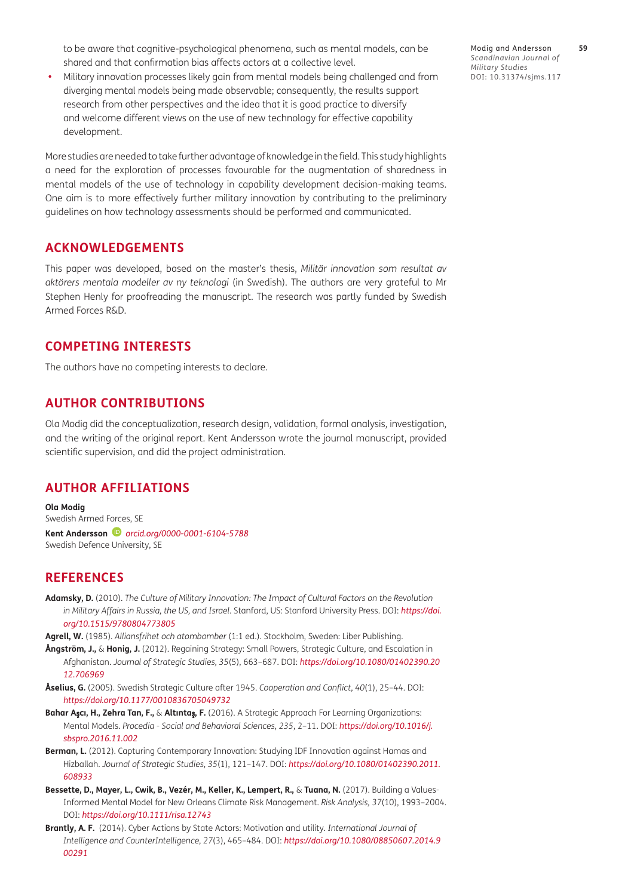to be aware that cognitive-psychological phenomena, such as mental models, can be shared and that confirmation bias affects actors at a collective level.

**•**  Military innovation processes likely gain from mental models being challenged and from diverging mental models being made observable; consequently, the results support research from other perspectives and the idea that it is good practice to diversify and welcome different views on the use of new technology for effective capability development.

More studies are needed to take further advantage of knowledge in the field. This study highlights a need for the exploration of processes favourable for the augmentation of sharedness in mental models of the use of technology in capability development decision-making teams. One aim is to more effectively further military innovation by contributing to the preliminary guidelines on how technology assessments should be performed and communicated.

## **ACKNOWLEDGEMENTS**

This paper was developed, based on the master's thesis, *Militär innovation som resultat av aktörers mentala modeller av ny teknologi* (in Swedish). The authors are very grateful to Mr Stephen Henly for proofreading the manuscript. The research was partly funded by Swedish Armed Forces R&D.

## **COMPETING INTERESTS**

The authors have no competing interests to declare.

## **AUTHOR CONTRIBUTIONS**

Ola Modig did the conceptualization, research design, validation, formal analysis, investigation, and the writing of the original report. Kent Andersson wrote the journal manuscript, provided scientific supervision, and did the project administration.

## <span id="page-14-0"></span>**AUTHOR AFFILIATIONS**

**Ola Modig** Swedish Armed Forces, SE **Kent Andersson** *[orcid.org/0000-0001-6104-5788](https://orcid.org/0000-0001-6104-5788)* Swedish Defence University, SE

## **REFERENCES**

- <span id="page-14-1"></span>**Adamsky, D.** (2010). *The Culture of Military Innovation: The Impact of Cultural Factors on the Revolution in Military Affairs in Russia, the US, and Israel*. Stanford, US: Stanford University Press. DOI: *[https://doi.](https://doi.org/10.1515/9780804773805) [org/10.1515/9780804773805](https://doi.org/10.1515/9780804773805)*
- <span id="page-14-4"></span>**Agrell, W.** (1985). *Alliansfrihet och atombomber* (1:1 ed.). Stockholm, Sweden: Liber Publishing.
- <span id="page-14-2"></span>**Ångström, J.,** & **Honig, J.** (2012). Regaining Strategy: Small Powers, Strategic Culture, and Escalation in Afghanistan. *Journal of Strategic Studies, 35*(5), 663–687. DOI: *[https://doi.org/10.1080/01402390.20](https://doi.org/10.1080/01402390.2012.706969) [12.706969](https://doi.org/10.1080/01402390.2012.706969)*
- <span id="page-14-5"></span>**Åselius, G.** (2005). Swedish Strategic Culture after 1945. *Cooperation and Conflict, 40*(1), 25–44. DOI: *<https://doi.org/10.1177/0010836705049732>*
- **Bahar A**ş**cı, H., Zehra Tan, F.,** & **Altınta**ş**, F.** (2016). A Strategic Approach For Learning Organizations: Mental Models. *Procedia - Social and Behavioral Sciences*, *235*, 2–11. DOI: *[https://doi.org/10.1016/j.](https://doi.org/10.1016/j.sbspro.2016.11.002) [sbspro.2016.11.002](https://doi.org/10.1016/j.sbspro.2016.11.002)*
- <span id="page-14-3"></span>**Berman, L.** (2012). Capturing Contemporary Innovation: Studying IDF Innovation against Hamas and Hizballah. *Journal of Strategic Studies, 35*(1), 121–147. DOI: *[https://doi.org/10.1080/01402390.2011.](https://doi.org/10.1080/01402390.2011.608933) [608933](https://doi.org/10.1080/01402390.2011.608933)*
- **Bessette, D., Mayer, L., Cwik, B., Vezér, M., Keller, K., Lempert, R.,** & **Tuana, N.** (2017). Building a Values-Informed Mental Model for New Orleans Climate Risk Management. *Risk Analysis, 37*(10), 1993–2004. DOI: *<https://doi.org/10.1111/risa.12743>*
- <span id="page-14-6"></span>**Brantly, A. F.** (2014). Cyber Actions by State Actors: Motivation and utility*. International Journal of Intelligence and CounterIntelligence, 27*(3), 465–484. DOI: *[https://doi.org/10.1080/08850607.2014.9](https://doi.org/10.1080/08850607.2014.900291) [00291](https://doi.org/10.1080/08850607.2014.900291)*

Modig and Andersson **59** *Scandinavian Journal of Military Studies* DOI: 10.31374/sjms.117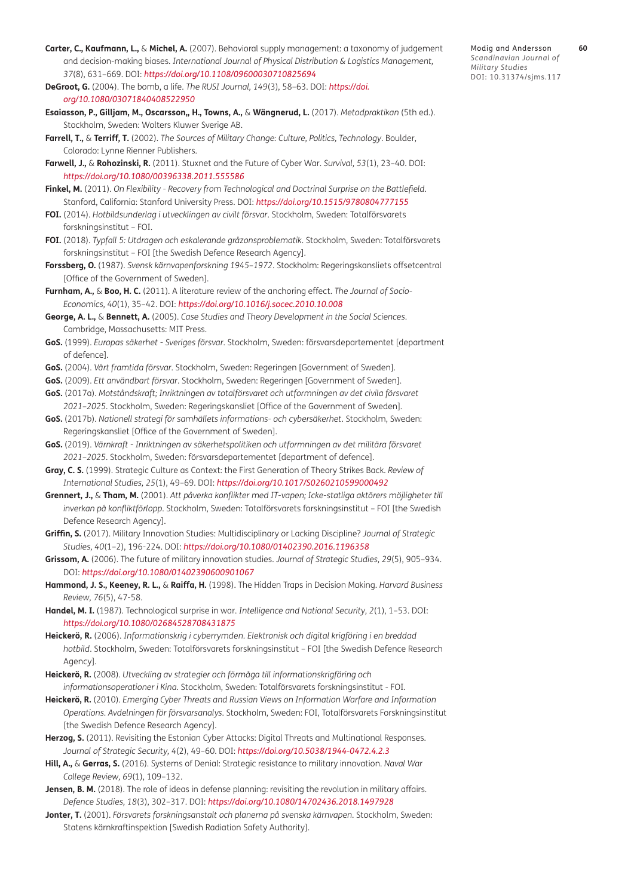- <span id="page-15-9"></span>**Carter, C., Kaufmann, L.,** & **Michel, A.** (2007). Behavioral supply management: a taxonomy of judgement and decision-making biases. *International Journal of Physical Distribution & Logistics Management, 37*(8), 631–669. DOI: *<https://doi.org/10.1108/09600030710825694>*
- <span id="page-15-14"></span>**DeGroot, G.** (2004). The bomb, a life. *The RUSI Journal, 149*(3), 58–63. DOI: *[https://doi.](https://doi.org/10.1080/03071840408522950) [org/10.1080/03071840408522950](https://doi.org/10.1080/03071840408522950)*
- **Esaiasson, P., Gilljam, M., Oscarsson,, H., Towns, A.,** & **Wängnerud, L.** (2017). *Metodpraktikan* (5th ed.). Stockholm, Sweden: Wolters Kluwer Sverige AB.
- <span id="page-15-5"></span>**Farrell, T.,** & **Terriff, T.** (2002). *The Sources of Military Change: Culture, Politics, Technology*. Boulder, Colorado: Lynne Rienner Publishers.
- <span id="page-15-19"></span>**Farwell, J.,** & **Rohozinski, R.** (2011). Stuxnet and the Future of Cyber War. *Survival, 53*(1), 23–40. DOI: *<https://doi.org/10.1080/00396338.2011.555586>*
- <span id="page-15-2"></span>**Finkel, M.** (2011). *On Flexibility - Recovery from Technological and Doctrinal Surprise on the Battlefield*. Stanford, California: Stanford University Press. DOI: *<https://doi.org/10.1515/9780804777155>*
- <span id="page-15-20"></span>**FOI.** (2014). *Hotbildsunderlag i utvecklingen av civilt försvar*. Stockholm, Sweden: Totalförsvarets forskningsinstitut – FOI.
- <span id="page-15-21"></span>**FOI.** (2018). *Typfall 5: Utdragen och eskalerande gråzonsproblematik*. Stockholm, Sweden: Totalförsvarets forskningsinstitut – FOI [the Swedish Defence Research Agency].
- <span id="page-15-12"></span>**Forssberg, O.** (1987). *Svensk kärnvapenforskning 1945–1972*. Stockholm: Regeringskansliets offsetcentral [Office of the Government of Sweden].
- <span id="page-15-7"></span>**Furnham, A.,** & **Boo, H. C.** (2011). A literature review of the anchoring effect. *The Journal of Socio-Economics, 40*(1), 35–42. DOI: *<https://doi.org/10.1016/j.socec.2010.10.008>*
- <span id="page-15-11"></span>**George, A. L.,** & **Bennett, A.** (2005). *Case Studies and Theory Development in the Social Sciences*. Cambridge, Massachusetts: MIT Press.
- **GoS.** (1999). *Europas säkerhet Sveriges försvar*. Stockholm, Sweden: försvarsdepartementet [department of defence].
- <span id="page-15-16"></span>**GoS.** (2004). *Vårt framtida försvar*. Stockholm, Sweden: Regeringen [Government of Sweden].
- <span id="page-15-18"></span>**GoS.** (2009). *Ett användbart försvar*. Stockholm, Sweden: Regeringen [Government of Sweden].
- <span id="page-15-23"></span>**GoS.** (2017a). *Motståndskraft; Inriktningen av totalförsvaret och utformningen av det civila försvaret 2021–2025*. Stockholm, Sweden: Regeringskansliet [Office of the Government of Sweden].
- <span id="page-15-22"></span>**GoS.** (2017b). *Nationell strategi för samhällets informations- och cybersäkerhet*. Stockholm, Sweden: Regeringskansliet [Office of the Government of Sweden].
- <span id="page-15-10"></span>**GoS.** (2019). *Värnkraft - Inriktningen av säkerhetspolitiken och utformningen av det militära försvaret 2021–2025*. Stockholm, Sweden: försvarsdepartementet [department of defence].
- <span id="page-15-4"></span>**Gray, C. S.** (1999). Strategic Culture as Context: the First Generation of Theory Strikes Back. *Review of International Studies, 25*(1), 49–69. DOI: *<https://doi.org/10.1017/S0260210599000492>*
- <span id="page-15-15"></span>**Grennert, J.,** & **Tham, M.** (2001). *Att påverka konflikter med IT-vapen; Icke-statliga aktörers möjligheter till inverkan på konfliktförlopp*. Stockholm, Sweden: Totalförsvarets forskningsinstitut – FOI [the Swedish Defence Research Agency].
- <span id="page-15-0"></span>**Griffin, S.** (2017). Military Innovation Studies: Multidisciplinary or Lacking Discipline? *Journal of Strategic Studies, 40*(1–2), 196-224. DOI: *<https://doi.org/10.1080/01402390.2016.1196358>*
- <span id="page-15-1"></span>**Grissom, A.** (2006). The future of military innovation studies. *Journal of Strategic Studies, 29*(5), 905–934. DOI: *<https://doi.org/10.1080/01402390600901067>*
- <span id="page-15-8"></span>**Hammond, J. S., Keeney, R. L.,** & **Raiffa, H.** (1998). The Hidden Traps in Decision Making. *Harvard Business Review, 76*(5), 47-58.
- <span id="page-15-3"></span>**Handel, M. I.** (1987). Technological surprise in war. *Intelligence and National Security, 2*(1), 1–53. DOI: *<https://doi.org/10.1080/02684528708431875>*
- **Heickerö, R.** (2006). *Informationskrig i cyberrymden. Elektronisk och digital krigföring i en breddad hotbild*. Stockholm, Sweden: Totalförsvarets forskningsinstitut – FOI [the Swedish Defence Research Agency].
- **Heickerö, R.** (2008). *Utveckling av strategier och förmåga till informationskrigföring och informationsoperationer i Kina*. Stockholm, Sweden: Totalförsvarets forskningsinstitut - FOI.
- **Heickerö, R.** (2010). *Emerging Cyber Threats and Russian Views on Information Warfare and Information Operations. Avdelningen för försvarsanalys*. Stockholm, Sweden: FOI, Totalförsvarets Forskningsinstitut [the Swedish Defence Research Agency].
- <span id="page-15-17"></span>**Herzog, S.** (2011). Revisiting the Estonian Cyber Attacks: Digital Threats and Multinational Responses. *Journal of Strategic Security, 4*(2), 49–60. DOI: *<https://doi.org/10.5038/1944-0472.4.2.3>*
- <span id="page-15-6"></span>**Hill, A.,** & **Gerras, S.** (2016). Systems of Denial: Strategic resistance to military innovation. *Naval War College Review, 69*(1), 109–132.
- <span id="page-15-24"></span>**Jensen, B. M.** (2018). The role of ideas in defense planning: revisiting the revolution in military affairs. *Defence Studies, 18*(3), 302–317. DOI: *<https://doi.org/10.1080/14702436.2018.1497928>*
- <span id="page-15-13"></span>**Jonter, T.** (2001). *Försvarets forskningsanstalt och planerna på svenska kärnvapen*. Stockholm, Sweden: Statens kärnkraftinspektion [Swedish Radiation Safety Authority].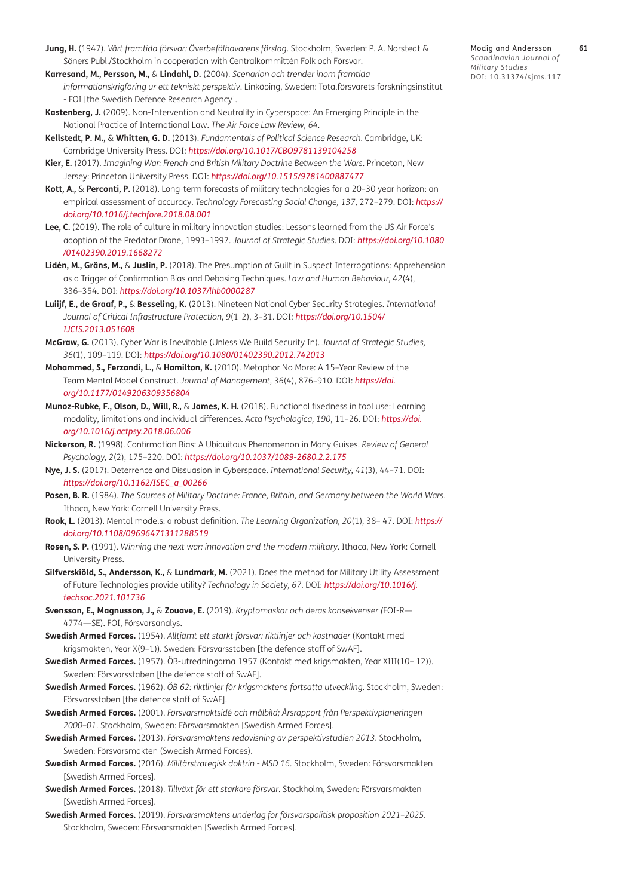- <span id="page-16-10"></span>**Jung, H.** (1947). *Vårt framtida försvar: Överbefälhavarens förslag*. Stockholm, Sweden: P. A. Norstedt & Söners Publ./Stockholm in cooperation with Centralkommittén Folk och Försvar.
- <span id="page-16-16"></span>**Karresand, M., Persson, M.,** & **Lindahl, D.** (2004). *Scenarion och trender inom framtida informationskrigföring ur ett tekniskt perspektiv*. Linköping, Sweden: Totalförsvarets forskningsinstitut - FOI [the Swedish Defence Research Agency].
- <span id="page-16-18"></span>**Kastenberg, J.** (2009). Non-Intervention and Neutrality in Cyberspace: An Emerging Principle in the National Practice of International Law. *The Air Force Law Review, 64*.
- <span id="page-16-13"></span>**Kellstedt, P. M.,** & **Whitten, G. D.** (2013). *Fundamentals of Political Science Research*. Cambridge, UK: Cambridge University Press. DOI: *<https://doi.org/10.1017/CBO9781139104258>*
- <span id="page-16-3"></span>**Kier, E.** (2017). *Imagining War: French and British Military Doctrine Between the Wars*. Princeton, New Jersey: Princeton University Press. DOI: *<https://doi.org/10.1515/9781400887477>*
- <span id="page-16-1"></span>**Kott, A.,** & **Perconti, P.** (2018). Long-term forecasts of military technologies for a 20–30 year horizon: an empirical assessment of accuracy. *Technology Forecasting Social Change, 137*, 272–279. DOI: *[https://](https://doi.org/10.1016/j.techfore.2018.08.001) [doi.org/10.1016/j.techfore.2018.08.001](https://doi.org/10.1016/j.techfore.2018.08.001)*
- <span id="page-16-4"></span>**Lee, C.** (2019). The role of culture in military innovation studies: Lessons learned from the US Air Force's adoption of the Predator Drone, 1993–1997. *Journal of Strategic Studies*. DOI: *[https://doi.org/10.1080](https://doi.org/10.1080/01402390.2019.1668272) [/01402390.2019.1668272](https://doi.org/10.1080/01402390.2019.1668272)*
- **Lidén, M., Gräns, M.,** & **Juslin, P.** (2018). The Presumption of Guilt in Suspect Interrogations: Apprehension as a Trigger of Confirmation Bias and Debasing Techniques. *Law and Human Behaviour, 42*(4), 336–354. DOI: *<https://doi.org/10.1037/lhb0000287>*
- <span id="page-16-20"></span>**Luiijf, E., de Graaf, P.,** & **Besseling, K.** (2013). Nineteen National Cyber Security Strategies. *International Journal of Critical Infrastructure Protection*, *9*(1-2), 3–31. DOI: *https://doi.org/10.1504/ IJCIS.2013.051608*
- <span id="page-16-17"></span>**McGraw, G.** (2013). Cyber War is Inevitable (Unless We Build Security In). *Journal of Strategic Studies, 36*(1), 109–119. DOI: *<https://doi.org/10.1080/01402390.2012.742013>*
- <span id="page-16-8"></span>**Mohammed, S., Ferzandi, L.,** & **Hamilton, K.** (2010). Metaphor No More: A 15–Year Review of the Team Mental Model Construct. *Journal of Management, 36*(4), 876–910. DOI: *[https://doi.](https://doi.org/10.1177/0149206309356804) [org/10.1177/0149206309356804](https://doi.org/10.1177/0149206309356804)*
- <span id="page-16-6"></span>**Munoz-Rubke, F., Olson, D., Will, R.,** & **James, K. H.** (2018). Functional fixedness in tool use: Learning modality, limitations and individual differences. *Acta Psychologica, 190*, 11–26. DOI: *[https://doi.](https://doi.org/10.1016/j.actpsy.2018.06.006) [org/10.1016/j.actpsy.2018.06.006](https://doi.org/10.1016/j.actpsy.2018.06.006)*
- <span id="page-16-7"></span>**Nickerson, R.** (1998). Confirmation Bias: A Ubiquitous Phenomenon in Many Guises. *Review of General Psychology, 2*(2), 175–220. DOI: *<https://doi.org/10.1037/1089-2680.2.2.175>*
- <span id="page-16-12"></span>**Nye, J. S.** (2017). Deterrence and Dissuasion in Cyberspace. *International Security, 41*(3), 44–71. DOI: *[https://doi.org/10.1162/ISEC\\_a\\_00266](https://doi.org/10.1162/ISEC_a_00266)*
- <span id="page-16-2"></span>**Posen, B. R.** (1984). *The Sources of Military Doctrine: France, Britain, and Germany between the World Wars*. Ithaca, New York: Cornell University Press.
- <span id="page-16-5"></span>**Rook, L.** (2013). Mental models: a robust definition. *The Learning Organization, 20*(1), 38– 47. DOI: *[https://](https://doi.org/10.1108/09696471311288519) [doi.org/10.1108/09696471311288519](https://doi.org/10.1108/09696471311288519)*
- <span id="page-16-0"></span>**Rosen, S. P.** (1991). *Winning the next war: innovation and the modern military*. Ithaca, New York: Cornell University Press.
- **Silfverskiöld, S., Andersson, K.,** & **Lundmark, M.** (2021). Does the method for Military Utility Assessment of Future Technologies provide utility? *Technology in Society, 67*. DOI: *[https://doi.org/10.1016/j.](https://doi.org/10.1016/j.techsoc.2021.101736) [techsoc.2021.101736](https://doi.org/10.1016/j.techsoc.2021.101736)*
- <span id="page-16-21"></span>**Svensson, E., Magnusson, J.,** & **Zouave, E.** (2019). *Kryptomaskar och deras konsekvenser (*FOI-R— 4774—SE). FOI, Försvarsanalys.
- <span id="page-16-14"></span>**Swedish Armed Forces.** (1954). *Alltjämt ett starkt försvar: riktlinjer och kostnader* (Kontakt med krigsmakten, Year X(9–1))*.* Sweden: Försvarsstaben [the defence staff of SwAF].
- <span id="page-16-15"></span>**Swedish Armed Forces.** (1957). ÖB-utredningarna 1957 (Kontakt med krigsmakten, Year XIII(10– 12)). Sweden: Försvarsstaben [the defence staff of SwAF].
- <span id="page-16-11"></span>**Swedish Armed Forces.** (1962). *ÖB 62: riktlinjer för krigsmaktens fortsatta utveckling*. Stockholm, Sweden: Försvarsstaben [the defence staff of SwAF].
- <span id="page-16-9"></span>**Swedish Armed Forces.** (2001). *Försvarsmaktsidé och målbild; Årsrapport från Perspektivplaneringen 2000–01*. Stockholm, Sweden: Försvarsmakten [Swedish Armed Forces].
- <span id="page-16-19"></span>**Swedish Armed Forces.** (2013). *Försvarsmaktens redovisning av perspektivstudien 2013*. Stockholm, Sweden: Försvarsmakten (Swedish Armed Forces).
- <span id="page-16-22"></span>**Swedish Armed Forces.** (2016). *Militärstrategisk doktrin - MSD 16*. Stockholm, Sweden: Försvarsmakten [Swedish Armed Forces].
- <span id="page-16-23"></span>**Swedish Armed Forces.** (2018). *Tillväxt för ett starkare försvar*. Stockholm, Sweden: Försvarsmakten [Swedish Armed Forces].
- <span id="page-16-24"></span>**Swedish Armed Forces.** (2019). *Försvarsmaktens underlag för försvarspolitisk proposition 2021–2025*. Stockholm, Sweden: Försvarsmakten [Swedish Armed Forces].